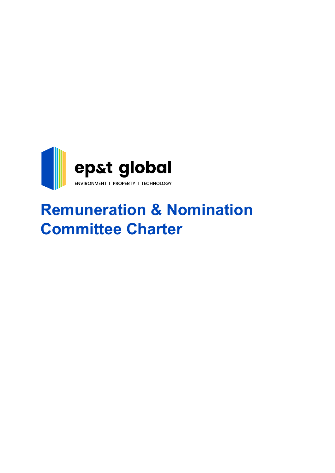

# **Remuneration & Nomination Committee Charter**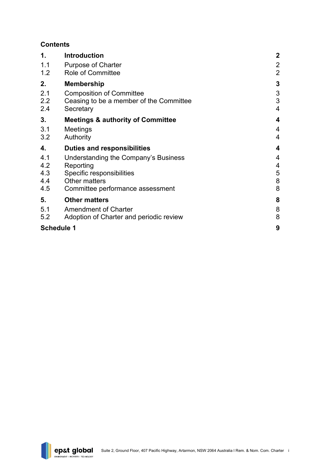# **Contents**

| 1.                              | <b>Introduction</b>                                                                                                                        | $\mathbf{2}$                     |
|---------------------------------|--------------------------------------------------------------------------------------------------------------------------------------------|----------------------------------|
| 1.1<br>1.2                      | <b>Purpose of Charter</b><br><b>Role of Committee</b>                                                                                      | $\overline{2}$<br>$\overline{2}$ |
| 2.                              | <b>Membership</b>                                                                                                                          | 3                                |
| 2.1<br>2.2<br>2.4               | <b>Composition of Committee</b><br>Ceasing to be a member of the Committee<br>Secretary                                                    | 3<br>3<br>4                      |
| 3.                              | <b>Meetings &amp; authority of Committee</b>                                                                                               | 4                                |
| 3.1<br>3.2                      | Meetings<br>Authority                                                                                                                      | 4<br>4                           |
| 4.                              | <b>Duties and responsibilities</b>                                                                                                         | 4                                |
| 4.1<br>4.2<br>4.3<br>4.4<br>4.5 | Understanding the Company's Business<br>Reporting<br>Specific responsibilities<br><b>Other matters</b><br>Committee performance assessment | 4<br>4<br>5<br>8<br>8            |
| 5.                              | <b>Other matters</b>                                                                                                                       | 8                                |
| 5.1<br>5.2                      | <b>Amendment of Charter</b>                                                                                                                | 8<br>8                           |
|                                 | Adoption of Charter and periodic review                                                                                                    |                                  |

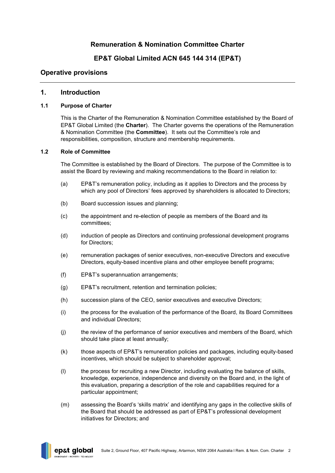# **Remuneration & Nomination Committee Charter**

# **EP&T Global Limited ACN 645 144 314 (EP&T)**

# **Operative provisions**

## <span id="page-2-0"></span>**1. Introduction**

#### <span id="page-2-1"></span>**1.1 Purpose of Charter**

This is the Charter of the Remuneration & Nomination Committee established by the Board of EP&T Global Limited (the **Charter**). The Charter governs the operations of the Remuneration & Nomination Committee (the **Committee**). It sets out the Committee's role and responsibilities, composition, structure and membership requirements.

#### <span id="page-2-2"></span>**1.2 Role of Committee**

The Committee is established by the Board of Directors. The purpose of the Committee is to assist the Board by reviewing and making recommendations to the Board in relation to:

- (a) EP&T's remuneration policy, including as it applies to Directors and the process by which any pool of Directors' fees approved by shareholders is allocated to Directors;
- (b) Board succession issues and planning;
- (c) the appointment and re-election of people as members of the Board and its committees;
- (d) induction of people as Directors and continuing professional development programs for Directors;
- (e) remuneration packages of senior executives, non-executive Directors and executive Directors, equity-based incentive plans and other employee benefit programs;
- (f) EP&T's superannuation arrangements;
- (g) EP&T's recruitment, retention and termination policies;
- (h) succession plans of the CEO, senior executives and executive Directors;
- (i) the process for the evaluation of the performance of the Board, its Board Committees and individual Directors;
- (j) the review of the performance of senior executives and members of the Board, which should take place at least annually;
- (k) those aspects of EP&T's remuneration policies and packages, including equity-based incentives, which should be subject to shareholder approval;
- (l) the process for recruiting a new Director, including evaluating the balance of skills, knowledge, experience, independence and diversity on the Board and, in the light of this evaluation, preparing a description of the role and capabilities required for a particular appointment;
- (m) assessing the Board's 'skills matrix' and identifying any gaps in the collective skills of the Board that should be addressed as part of EP&T's professional development initiatives for Directors; and

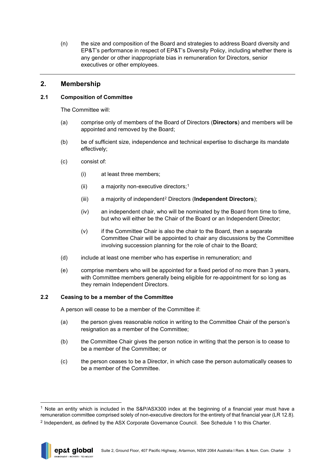(n) the size and composition of the Board and strategies to address Board diversity and EP&T's performance in respect of EP&T's Diversity Policy, including whether there is any gender or other inappropriate bias in remuneration for Directors, senior executives or other employees.

# <span id="page-3-0"></span>**2. Membership**

## <span id="page-3-1"></span>**2.1 Composition of Committee**

The Committee will:

- (a) comprise only of members of the Board of Directors (**Directors**) and members will be appointed and removed by the Board;
- (b) be of sufficient size, independence and technical expertise to discharge its mandate effectively;
- (c) consist of:
	- (i) at least three members;
	- (ii) a majority non-executive directors;[1](#page-3-3)
	- (iii) a majority of independent[2](#page-3-4) Directors (**Independent Directors**);
	- (iv) an independent chair, who will be nominated by the Board from time to time, but who will either be the Chair of the Board or an Independent Director;
	- (v) if the Committee Chair is also the chair to the Board, then a separate Committee Chair will be appointed to chair any discussions by the Committee involving succession planning for the role of chair to the Board;
- (d) include at least one member who has expertise in remuneration; and
- (e) comprise members who will be appointed for a fixed period of no more than 3 years, with Committee members generally being eligible for re-appointment for so long as they remain Independent Directors.

### <span id="page-3-2"></span>**2.2 Ceasing to be a member of the Committee**

A person will cease to be a member of the Committee if:

- (a) the person gives reasonable notice in writing to the Committee Chair of the person's resignation as a member of the Committee;
- (b) the Committee Chair gives the person notice in writing that the person is to cease to be a member of the Committee; or
- (c) the person ceases to be a Director, in which case the person automatically ceases to be a member of the Committee.

<span id="page-3-4"></span><sup>2</sup> Independent, as defined by the ASX Corporate Governance Council. See [Schedule 1](#page-9-0) to this Charter.



<span id="page-3-3"></span> $1$  Note an entity which is included in the S&P/ASX300 index at the beginning of a financial year must have a remuneration committee comprised solely of non-executive directors for the entirety of that financial year (LR 12.8).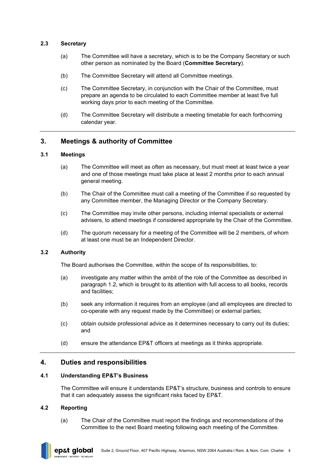#### <span id="page-4-0"></span>**2.3 Secretary**

- (a) The Committee will have a secretary, which is to be the Company Secretary or such other person as nominated by the Board (**Committee Secretary**).
- (b) The Committee Secretary will attend all Committee meetings.
- (c) The Committee Secretary, in conjunction with the Chair of the Committee, must prepare an agenda to be circulated to each Committee member at least five full working days prior to each meeting of the Committee.
- (d) The Committee Secretary will distribute a meeting timetable for each forthcoming calendar year.

# <span id="page-4-1"></span>**3. Meetings & authority of Committee**

#### <span id="page-4-2"></span>**3.1 Meetings**

- (a) The Committee will meet as often as necessary, but must meet at least twice a year and one of those meetings must take place at least 2 months prior to each annual general meeting.
- (b) The Chair of the Committee must call a meeting of the Committee if so requested by any Committee member, the Managing Director or the Company Secretary.
- (c) The Committee may invite other persons, including internal specialists or external advisers, to attend meetings if considered appropriate by the Chair of the Committee.
- (d) The quorum necessary for a meeting of the Committee will be 2 members, of whom at least one must be an Independent Director.

### <span id="page-4-3"></span>**3.2 Authority**

The Board authorises the Committee, within the scope of its responsibilities, to:

- (a) investigate any matter within the ambit of the role of the Committee as described in paragraph [1.2,](#page-2-2) which is brought to its attention with full access to all books, records and facilities;
- (b) seek any information it requires from an employee (and all employees are directed to co-operate with any request made by the Committee) or external parties;
- (c) obtain outside professional advice as it determines necessary to carry out its duties; and
- (d) ensure the attendance EP&T officers at meetings as it thinks appropriate.

### <span id="page-4-4"></span>**4. Duties and responsibilities**

#### <span id="page-4-5"></span>**4.1 Understanding EP&T's Business**

The Committee will ensure it understands EP&T's structure, business and controls to ensure that it can adequately assess the significant risks faced by EP&T.

#### <span id="page-4-6"></span>**4.2 Reporting**

(a) The Chair of the Committee must report the findings and recommendations of the Committee to the next Board meeting following each meeting of the Committee.

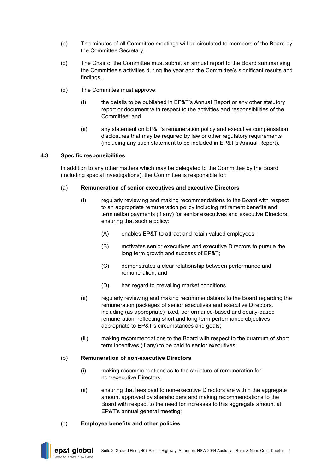- (b) The minutes of all Committee meetings will be circulated to members of the Board by the Committee Secretary.
- (c) The Chair of the Committee must submit an annual report to the Board summarising the Committee's activities during the year and the Committee's significant results and findings.
- (d) The Committee must approve:
	- (i) the details to be published in EP&T's Annual Report or any other statutory report or document with respect to the activities and responsibilities of the Committee; and
	- (ii) any statement on EP&T's remuneration policy and executive compensation disclosures that may be required by law or other regulatory requirements (including any such statement to be included in EP&T's Annual Report).

#### <span id="page-5-0"></span>**4.3 Specific responsibilities**

In addition to any other matters which may be delegated to the Committee by the Board (including special investigations), the Committee is responsible for:

#### (a) **Remuneration of senior executives and executive Directors**

- (i) regularly reviewing and making recommendations to the Board with respect to an appropriate remuneration policy including retirement benefits and termination payments (if any) for senior executives and executive Directors, ensuring that such a policy:
	- (A) enables EP&T to attract and retain valued employees;
	- (B) motivates senior executives and executive Directors to pursue the long term growth and success of EP&T;
	- (C) demonstrates a clear relationship between performance and remuneration; and
	- (D) has regard to prevailing market conditions.
- (ii) regularly reviewing and making recommendations to the Board regarding the remuneration packages of senior executives and executive Directors, including (as appropriate) fixed, performance-based and equity-based remuneration, reflecting short and long term performance objectives appropriate to EP&T's circumstances and goals;
- (iii) making recommendations to the Board with respect to the quantum of short term incentives (if any) to be paid to senior executives;

#### (b) **Remuneration of non-executive Directors**

- (i) making recommendations as to the structure of remuneration for non-executive Directors;
- (ii) ensuring that fees paid to non-executive Directors are within the aggregate amount approved by shareholders and making recommendations to the Board with respect to the need for increases to this aggregate amount at EP&T's annual general meeting;

### (c) **Employee benefits and other policies**

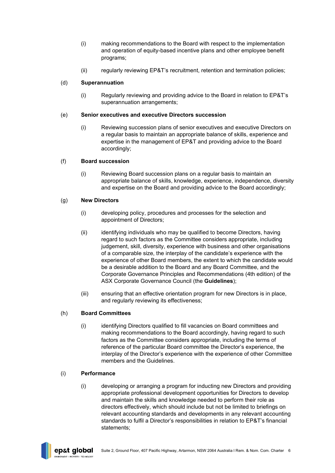- (i) making recommendations to the Board with respect to the implementation and operation of equity-based incentive plans and other employee benefit programs;
- (ii) regularly reviewing EP&T's recruitment, retention and termination policies;

# (d) **Superannuation**

(i) Regularly reviewing and providing advice to the Board in relation to EP&T's superannuation arrangements:

## (e) **Senior executives and executive Directors succession**

(i) Reviewing succession plans of senior executives and executive Directors on a regular basis to maintain an appropriate balance of skills, experience and expertise in the management of EP&T and providing advice to the Board accordingly;

# (f) **Board succession**

(i) Reviewing Board succession plans on a regular basis to maintain an appropriate balance of skills, knowledge, experience, independence, diversity and expertise on the Board and providing advice to the Board accordingly;

# (g) **New Directors**

- (i) developing policy, procedures and processes for the selection and appointment of Directors;
- (ii) identifying individuals who may be qualified to become Directors, having regard to such factors as the Committee considers appropriate, including judgement, skill, diversity, experience with business and other organisations of a comparable size, the interplay of the candidate's experience with the experience of other Board members, the extent to which the candidate would be a desirable addition to the Board and any Board Committee, and the Corporate Governance Principles and Recommendations (4th edition) of the ASX Corporate Governance Council (the **Guidelines**);
- (iii) ensuring that an effective orientation program for new Directors is in place, and regularly reviewing its effectiveness;

# (h) **Board Committees**

(i) identifying Directors qualified to fill vacancies on Board committees and making recommendations to the Board accordingly, having regard to such factors as the Committee considers appropriate, including the terms of reference of the particular Board committee the Director's experience, the interplay of the Director's experience with the experience of other Committee members and the Guidelines.

### (i) **Performance**

(i) developing or arranging a program for inducting new Directors and providing appropriate professional development opportunities for Directors to develop and maintain the skills and knowledge needed to perform their role as directors effectively, which should include but not be limited to briefings on relevant accounting standards and developments in any relevant accounting standards to fulfil a Director's responsibilities in relation to EP&T's financial statements;

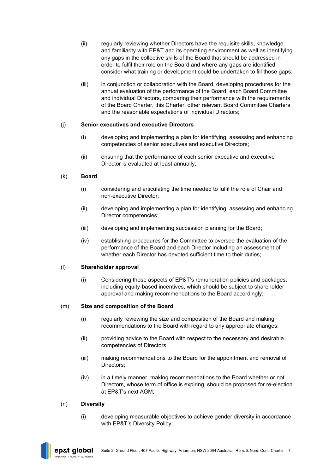- (ii) regularly reviewing whether Directors have the requisite skills, knowledge and familiarity with EP&T and its operating environment as well as identifying any gaps in the collective skills of the Board that should be addressed in order to fulfil their role on the Board and where any gaps are identified consider what training or development could be undertaken to fill those gaps;
- (iii) in conjunction or collaboration with the Board, developing procedures for the annual evaluation of the performance of the Board, each Board Committee and individual Directors, comparing their performance with the requirements of the Board Charter, this Charter, other relevant Board Committee Charters and the reasonable expectations of individual Directors;

# (j) **Senior executives and executive Directors**

- (i) developing and implementing a plan for identifying, assessing and enhancing competencies of senior executives and executive Directors;
- (ii) ensuring that the performance of each senior executive and executive Director is evaluated at least annually;

# (k) **Board**

- (i) considering and articulating the time needed to fulfil the role of Chair and non-executive Director;
- (ii) developing and implementing a plan for identifying, assessing and enhancing Director competencies;
- (iii) developing and implementing succession planning for the Board;
- (iv) establishing procedures for the Committee to oversee the evaluation of the performance of the Board and each Director including an assessment of whether each Director has devoted sufficient time to their duties;

## (l) **Shareholder approval**

(i) Considering those aspects of EP&T's remuneration policies and packages, including equity-based incentives, which should be subject to shareholder approval and making recommendations to the Board accordingly;

### (m) **Size and composition of the Board**

- (i) regularly reviewing the size and composition of the Board and making recommendations to the Board with regard to any appropriate changes;
- (ii) providing advice to the Board with respect to the necessary and desirable competencies of Directors;
- (iii) making recommendations to the Board for the appointment and removal of Directors;
- (iv) in a timely manner, making recommendations to the Board whether or not Directors, whose term of office is expiring, should be proposed for re-election at EP&T's next AGM;

### (n) **Diversity**

(i) developing measurable objectives to achieve gender diversity in accordance with EP&T's Diversity Policy;

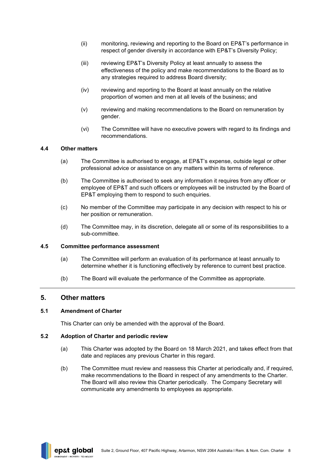- (ii) monitoring, reviewing and reporting to the Board on EP&T's performance in respect of gender diversity in accordance with EP&T's Diversity Policy;
- (iii) reviewing EP&T's Diversity Policy at least annually to assess the effectiveness of the policy and make recommendations to the Board as to any strategies required to address Board diversity;
- (iv) reviewing and reporting to the Board at least annually on the relative proportion of women and men at all levels of the business; and
- (v) reviewing and making recommendations to the Board on remuneration by gender.
- (vi) The Committee will have no executive powers with regard to its findings and recommendations.

#### <span id="page-8-0"></span>**4.4 Other matters**

- (a) The Committee is authorised to engage, at EP&T's expense, outside legal or other professional advice or assistance on any matters within its terms of reference.
- (b) The Committee is authorised to seek any information it requires from any officer or employee of EP&T and such officers or employees will be instructed by the Board of EP&T employing them to respond to such enquiries.
- (c) No member of the Committee may participate in any decision with respect to his or her position or remuneration.
- (d) The Committee may, in its discretion, delegate all or some of its responsibilities to a sub-committee.

#### <span id="page-8-1"></span>**4.5 Committee performance assessment**

- (a) The Committee will perform an evaluation of its performance at least annually to determine whether it is functioning effectively by reference to current best practice.
- (b) The Board will evaluate the performance of the Committee as appropriate.

### <span id="page-8-2"></span>**5. Other matters**

#### <span id="page-8-3"></span>**5.1 Amendment of Charter**

This Charter can only be amended with the approval of the Board.

#### <span id="page-8-4"></span>**5.2 Adoption of Charter and periodic review**

- (a) This Charter was adopted by the Board on 18 March 2021, and takes effect from that date and replaces any previous Charter in this regard.
- (b) The Committee must review and reassess this Charter at periodically and, if required, make recommendations to the Board in respect of any amendments to the Charter. The Board will also review this Charter periodically. The Company Secretary will communicate any amendments to employees as appropriate.